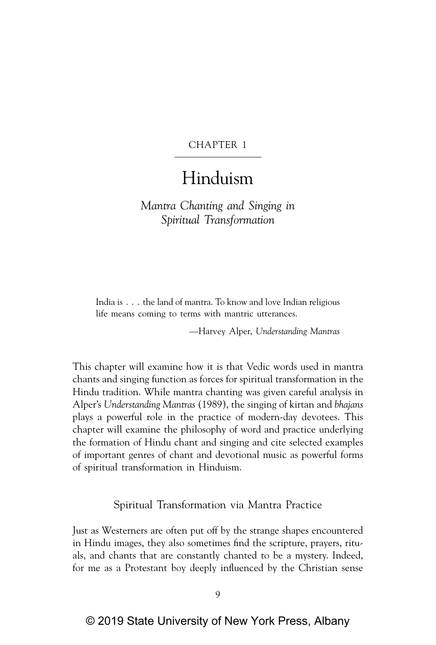CHAPTER 1

# Hinduism

*Mantra Chanting and Singing in Spiritual Transformation*

India is . . . the land of mantra. To know and love Indian religious life means coming to terms with mantric utterances.

—Harvey Alper, *Understanding Mantras*

This chapter will examine how it is that Vedic words used in mantra chants and singing function as forces for spiritual transformation in the Hindu tradition. While mantra chanting was given careful analysis in Alper's *Understanding Mantras* (1989), the singing of kirtan and *bhajans* plays a powerful role in the practice of modern-day devotees. This chapter will examine the philosophy of word and practice underlying the formation of Hindu chant and singing and cite selected examples of important genres of chant and devotional music as powerful forms of spiritual transformation in Hinduism.

Spiritual Transformation via Mantra Practice

Just as Westerners are often put off by the strange shapes encountered in Hindu images, they also sometimes find the scripture, prayers, rituals, and chants that are constantly chanted to be a mystery. Indeed, for me as a Protestant boy deeply influenced by the Christian sense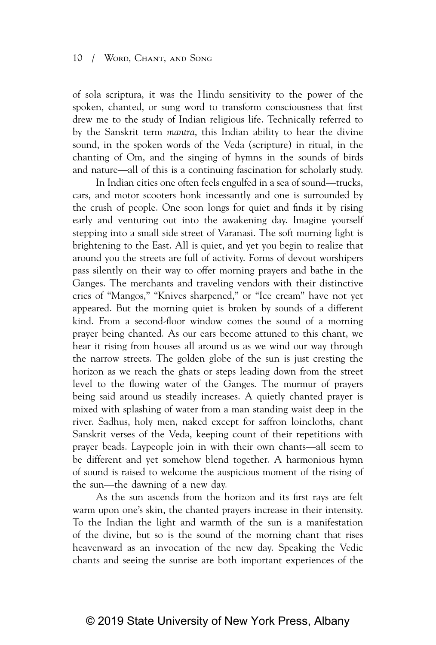of sola scriptura, it was the Hindu sensitivity to the power of the spoken, chanted, or sung word to transform consciousness that first drew me to the study of Indian religious life. Technically referred to by the Sanskrit term *mantra*, this Indian ability to hear the divine sound, in the spoken words of the Veda (scripture) in ritual, in the chanting of Om, and the singing of hymns in the sounds of birds and nature—all of this is a continuing fascination for scholarly study.

In Indian cities one often feels engulfed in a sea of sound—trucks, cars, and motor scooters honk incessantly and one is surrounded by the crush of people. One soon longs for quiet and finds it by rising early and venturing out into the awakening day. Imagine yourself stepping into a small side street of Varanasi. The soft morning light is brightening to the East. All is quiet, and yet you begin to realize that around you the streets are full of activity. Forms of devout worshipers pass silently on their way to offer morning prayers and bathe in the Ganges. The merchants and traveling vendors with their distinctive cries of "Mangos," "Knives sharpened," or "Ice cream" have not yet appeared. But the morning quiet is broken by sounds of a different kind. From a second-floor window comes the sound of a morning prayer being chanted. As our ears become attuned to this chant, we hear it rising from houses all around us as we wind our way through the narrow streets. The golden globe of the sun is just cresting the horizon as we reach the ghats or steps leading down from the street level to the flowing water of the Ganges. The murmur of prayers being said around us steadily increases. A quietly chanted prayer is mixed with splashing of water from a man standing waist deep in the river. Sadhus, holy men, naked except for saffron loincloths, chant Sanskrit verses of the Veda, keeping count of their repetitions with prayer beads. Laypeople join in with their own chants—all seem to be different and yet somehow blend together. A harmonious hymn of sound is raised to welcome the auspicious moment of the rising of the sun—the dawning of a new day.

As the sun ascends from the horizon and its first rays are felt warm upon one's skin, the chanted prayers increase in their intensity. To the Indian the light and warmth of the sun is a manifestation of the divine, but so is the sound of the morning chant that rises heavenward as an invocation of the new day. Speaking the Vedic chants and seeing the sunrise are both important experiences of the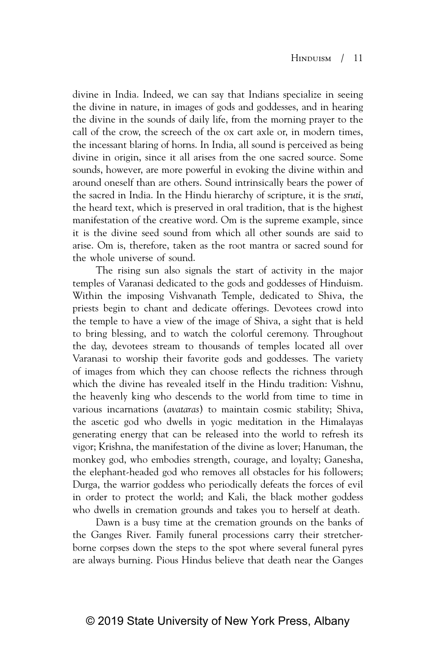divine in India. Indeed, we can say that Indians specialize in seeing the divine in nature, in images of gods and goddesses, and in hearing the divine in the sounds of daily life, from the morning prayer to the call of the crow, the screech of the ox cart axle or, in modern times, the incessant blaring of horns. In India, all sound is perceived as being divine in origin, since it all arises from the one sacred source. Some sounds, however, are more powerful in evoking the divine within and around oneself than are others. Sound intrinsically bears the power of the sacred in India. In the Hindu hierarchy of scripture, it is the *sruti*, the heard text, which is preserved in oral tradition, that is the highest manifestation of the creative word. Om is the supreme example, since it is the divine seed sound from which all other sounds are said to arise. Om is, therefore, taken as the root mantra or sacred sound for the whole universe of sound.

The rising sun also signals the start of activity in the major temples of Varanasi dedicated to the gods and goddesses of Hinduism. Within the imposing Vishvanath Temple, dedicated to Shiva, the priests begin to chant and dedicate offerings. Devotees crowd into the temple to have a view of the image of Shiva, a sight that is held to bring blessing, and to watch the colorful ceremony. Throughout the day, devotees stream to thousands of temples located all over Varanasi to worship their favorite gods and goddesses. The variety of images from which they can choose reflects the richness through which the divine has revealed itself in the Hindu tradition: Vishnu, the heavenly king who descends to the world from time to time in various incarnations (*avataras*) to maintain cosmic stability; Shiva, the ascetic god who dwells in yogic meditation in the Himalayas generating energy that can be released into the world to refresh its vigor; Krishna, the manifestation of the divine as lover; Hanuman, the monkey god, who embodies strength, courage, and loyalty; Ganesha, the elephant-headed god who removes all obstacles for his followers; Durga, the warrior goddess who periodically defeats the forces of evil in order to protect the world; and Kali, the black mother goddess who dwells in cremation grounds and takes you to herself at death.

Dawn is a busy time at the cremation grounds on the banks of the Ganges River. Family funeral processions carry their stretcherborne corpses down the steps to the spot where several funeral pyres are always burning. Pious Hindus believe that death near the Ganges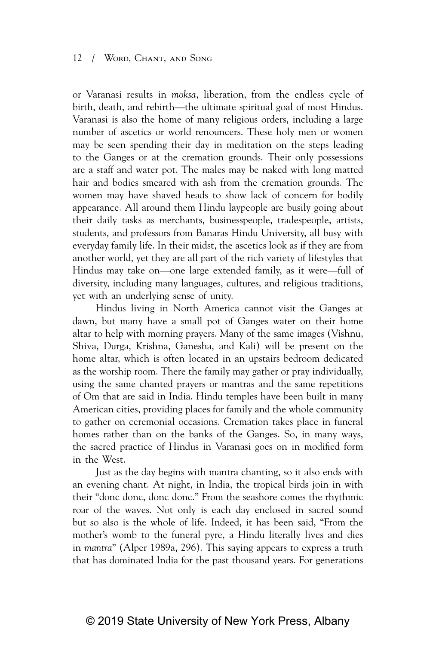#### 12 / Word, Chant, and Song

or Varanasi results in *moksa*, liberation, from the endless cycle of birth, death, and rebirth—the ultimate spiritual goal of most Hindus. Varanasi is also the home of many religious orders, including a large number of ascetics or world renouncers. These holy men or women may be seen spending their day in meditation on the steps leading to the Ganges or at the cremation grounds. Their only possessions are a staff and water pot. The males may be naked with long matted hair and bodies smeared with ash from the cremation grounds. The women may have shaved heads to show lack of concern for bodily appearance. All around them Hindu laypeople are busily going about their daily tasks as merchants, businesspeople, tradespeople, artists, students, and professors from Banaras Hindu University, all busy with everyday family life. In their midst, the ascetics look as if they are from another world, yet they are all part of the rich variety of lifestyles that Hindus may take on—one large extended family, as it were—full of diversity, including many languages, cultures, and religious traditions, yet with an underlying sense of unity.

Hindus living in North America cannot visit the Ganges at dawn, but many have a small pot of Ganges water on their home altar to help with morning prayers. Many of the same images (Vishnu, Shiva, Durga, Krishna, Ganesha, and Kali) will be present on the home altar, which is often located in an upstairs bedroom dedicated as the worship room. There the family may gather or pray individually, using the same chanted prayers or mantras and the same repetitions of Om that are said in India. Hindu temples have been built in many American cities, providing places for family and the whole community to gather on ceremonial occasions. Cremation takes place in funeral homes rather than on the banks of the Ganges. So, in many ways, the sacred practice of Hindus in Varanasi goes on in modified form in the West.

Just as the day begins with mantra chanting, so it also ends with an evening chant. At night, in India, the tropical birds join in with their "donc donc, donc donc." From the seashore comes the rhythmic roar of the waves. Not only is each day enclosed in sacred sound but so also is the whole of life. Indeed, it has been said, "From the mother's womb to the funeral pyre, a Hindu literally lives and dies in *mantra*" (Alper 1989a, 296). This saying appears to express a truth that has dominated India for the past thousand years. For generations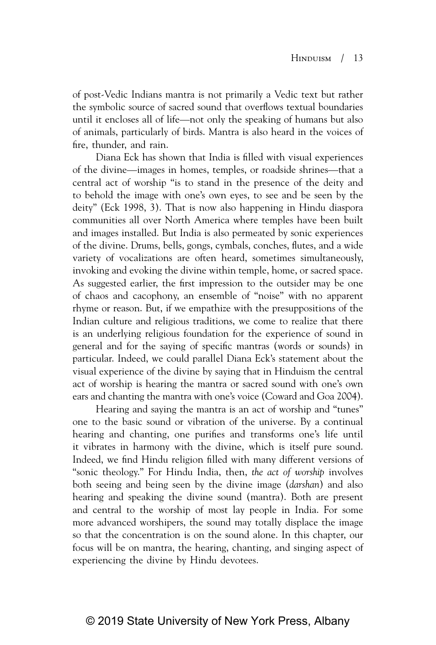of post-Vedic Indians mantra is not primarily a Vedic text but rather the symbolic source of sacred sound that overflows textual boundaries until it encloses all of life—not only the speaking of humans but also of animals, particularly of birds. Mantra is also heard in the voices of fire, thunder, and rain.

Diana Eck has shown that India is filled with visual experiences of the divine—images in homes, temples, or roadside shrines—that a central act of worship "is to stand in the presence of the deity and to behold the image with one's own eyes, to see and be seen by the deity" (Eck 1998, 3). That is now also happening in Hindu diaspora communities all over North America where temples have been built and images installed. But India is also permeated by sonic experiences of the divine. Drums, bells, gongs, cymbals, conches, flutes, and a wide variety of vocalizations are often heard, sometimes simultaneously, invoking and evoking the divine within temple, home, or sacred space. As suggested earlier, the first impression to the outsider may be one of chaos and cacophony, an ensemble of "noise" with no apparent rhyme or reason. But, if we empathize with the presuppositions of the Indian culture and religious traditions, we come to realize that there is an underlying religious foundation for the experience of sound in general and for the saying of specific mantras (words or sounds) in particular. Indeed, we could parallel Diana Eck's statement about the visual experience of the divine by saying that in Hinduism the central act of worship is hearing the mantra or sacred sound with one's own ears and chanting the mantra with one's voice (Coward and Goa 2004).

Hearing and saying the mantra is an act of worship and "tunes" one to the basic sound or vibration of the universe. By a continual hearing and chanting, one purifies and transforms one's life until it vibrates in harmony with the divine, which is itself pure sound. Indeed, we find Hindu religion filled with many different versions of "sonic theology." For Hindu India, then, *the act of worship* involves both seeing and being seen by the divine image (*darshan*) and also hearing and speaking the divine sound (mantra). Both are present and central to the worship of most lay people in India. For some more advanced worshipers, the sound may totally displace the image so that the concentration is on the sound alone. In this chapter, our focus will be on mantra, the hearing, chanting, and singing aspect of experiencing the divine by Hindu devotees.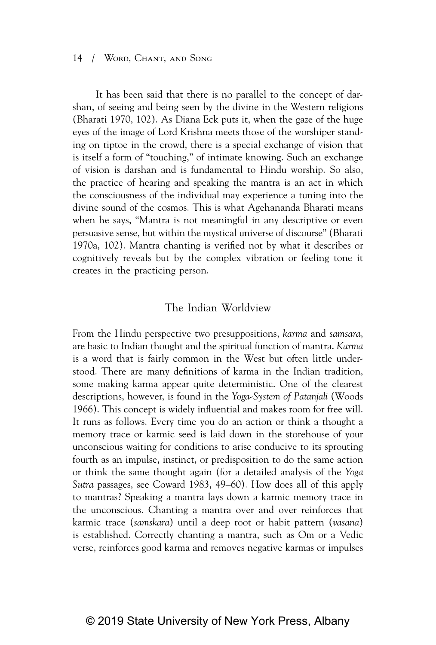#### 14 / Word, Chant, and Song

It has been said that there is no parallel to the concept of darshan, of seeing and being seen by the divine in the Western religions (Bharati 1970, 102). As Diana Eck puts it, when the gaze of the huge eyes of the image of Lord Krishna meets those of the worshiper standing on tiptoe in the crowd, there is a special exchange of vision that is itself a form of "touching," of intimate knowing. Such an exchange of vision is darshan and is fundamental to Hindu worship. So also, the practice of hearing and speaking the mantra is an act in which the consciousness of the individual may experience a tuning into the divine sound of the cosmos. This is what Agehananda Bharati means when he says, "Mantra is not meaningful in any descriptive or even persuasive sense, but within the mystical universe of discourse" (Bharati 1970a, 102). Mantra chanting is verified not by what it describes or cognitively reveals but by the complex vibration or feeling tone it creates in the practicing person.

### The Indian Worldview

From the Hindu perspective two presuppositions, *karma* and *samsara*, are basic to Indian thought and the spiritual function of mantra. *Karma* is a word that is fairly common in the West but often little understood. There are many definitions of karma in the Indian tradition, some making karma appear quite deterministic. One of the clearest descriptions, however, is found in the *Yoga-System of Patanjali* (Woods 1966). This concept is widely influential and makes room for free will. It runs as follows. Every time you do an action or think a thought a memory trace or karmic seed is laid down in the storehouse of your unconscious waiting for conditions to arise conducive to its sprouting fourth as an impulse, instinct, or predisposition to do the same action or think the same thought again (for a detailed analysis of the *Yoga Sutra* passages, see Coward 1983, 49–60). How does all of this apply to mantras? Speaking a mantra lays down a karmic memory trace in the unconscious. Chanting a mantra over and over reinforces that karmic trace (*samskara*) until a deep root or habit pattern (*vasana*) is established. Correctly chanting a mantra, such as Om or a Vedic verse, reinforces good karma and removes negative karmas or impulses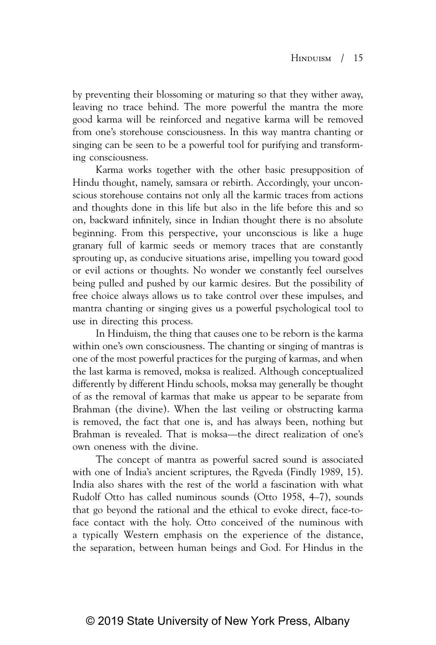by preventing their blossoming or maturing so that they wither away, leaving no trace behind. The more powerful the mantra the more good karma will be reinforced and negative karma will be removed from one's storehouse consciousness. In this way mantra chanting or singing can be seen to be a powerful tool for purifying and transforming consciousness.

Karma works together with the other basic presupposition of Hindu thought, namely, samsara or rebirth. Accordingly, your unconscious storehouse contains not only all the karmic traces from actions and thoughts done in this life but also in the life before this and so on, backward infinitely, since in Indian thought there is no absolute beginning. From this perspective, your unconscious is like a huge granary full of karmic seeds or memory traces that are constantly sprouting up, as conducive situations arise, impelling you toward good or evil actions or thoughts. No wonder we constantly feel ourselves being pulled and pushed by our karmic desires. But the possibility of free choice always allows us to take control over these impulses, and mantra chanting or singing gives us a powerful psychological tool to use in directing this process.

In Hinduism, the thing that causes one to be reborn is the karma within one's own consciousness. The chanting or singing of mantras is one of the most powerful practices for the purging of karmas, and when the last karma is removed, moksa is realized. Although conceptualized differently by different Hindu schools, moksa may generally be thought of as the removal of karmas that make us appear to be separate from Brahman (the divine). When the last veiling or obstructing karma is removed, the fact that one is, and has always been, nothing but Brahman is revealed. That is moksa—the direct realization of one's own oneness with the divine.

The concept of mantra as powerful sacred sound is associated with one of India's ancient scriptures, the Rgveda (Findly 1989, 15). India also shares with the rest of the world a fascination with what Rudolf Otto has called numinous sounds (Otto 1958, 4–7), sounds that go beyond the rational and the ethical to evoke direct, face-toface contact with the holy. Otto conceived of the numinous with a typically Western emphasis on the experience of the distance, the separation, between human beings and God. For Hindus in the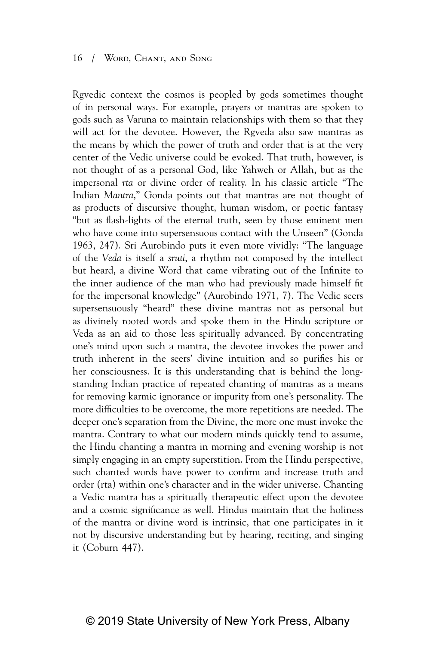Rgvedic context the cosmos is peopled by gods sometimes thought of in personal ways. For example, prayers or mantras are spoken to gods such as Varuna to maintain relationships with them so that they will act for the devotee. However, the Rgveda also saw mantras as the means by which the power of truth and order that is at the very center of the Vedic universe could be evoked. That truth, however, is not thought of as a personal God, like Yahweh or Allah, but as the impersonal *rta* or divine order of reality. In his classic article "The Indian *Mantra*," Gonda points out that mantras are not thought of as products of discursive thought, human wisdom, or poetic fantasy "but as flash-lights of the eternal truth, seen by those eminent men who have come into supersensuous contact with the Unseen" (Gonda 1963, 247). Sri Aurobindo puts it even more vividly: "The language of the *Veda* is itself a *sruti*, a rhythm not composed by the intellect but heard, a divine Word that came vibrating out of the Infinite to the inner audience of the man who had previously made himself fit for the impersonal knowledge" (Aurobindo 1971, 7). The Vedic seers supersensuously "heard" these divine mantras not as personal but as divinely rooted words and spoke them in the Hindu scripture or Veda as an aid to those less spiritually advanced. By concentrating one's mind upon such a mantra, the devotee invokes the power and truth inherent in the seers' divine intuition and so purifies his or her consciousness. It is this understanding that is behind the longstanding Indian practice of repeated chanting of mantras as a means for removing karmic ignorance or impurity from one's personality. The more difficulties to be overcome, the more repetitions are needed. The deeper one's separation from the Divine, the more one must invoke the mantra. Contrary to what our modern minds quickly tend to assume, the Hindu chanting a mantra in morning and evening worship is not simply engaging in an empty superstition. From the Hindu perspective, such chanted words have power to confirm and increase truth and order (rta) within one's character and in the wider universe. Chanting a Vedic mantra has a spiritually therapeutic effect upon the devotee and a cosmic significance as well. Hindus maintain that the holiness of the mantra or divine word is intrinsic, that one participates in it not by discursive understanding but by hearing, reciting, and singing it (Coburn 447).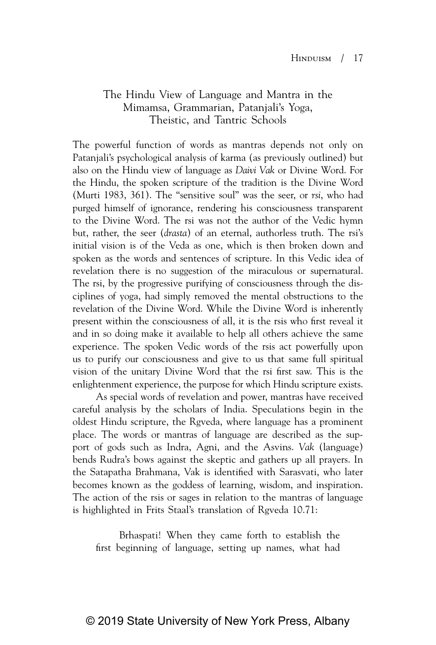# The Hindu View of Language and Mantra in the Mimamsa, Grammarian, Patanjali's Yoga, Theistic, and Tantric Schools

The powerful function of words as mantras depends not only on Patanjali's psychological analysis of karma (as previously outlined) but also on the Hindu view of language as *Daivi Vak* or Divine Word. For the Hindu, the spoken scripture of the tradition is the Divine Word (Murti 1983, 361). The "sensitive soul" was the seer, or *rsi*, who had purged himself of ignorance, rendering his consciousness transparent to the Divine Word. The rsi was not the author of the Vedic hymn but, rather, the seer (*drasta*) of an eternal, authorless truth. The rsi's initial vision is of the Veda as one, which is then broken down and spoken as the words and sentences of scripture. In this Vedic idea of revelation there is no suggestion of the miraculous or supernatural. The rsi, by the progressive purifying of consciousness through the disciplines of yoga, had simply removed the mental obstructions to the revelation of the Divine Word. While the Divine Word is inherently present within the consciousness of all, it is the rsis who first reveal it and in so doing make it available to help all others achieve the same experience. The spoken Vedic words of the rsis act powerfully upon us to purify our consciousness and give to us that same full spiritual vision of the unitary Divine Word that the rsi first saw. This is the enlightenment experience, the purpose for which Hindu scripture exists.

As special words of revelation and power, mantras have received careful analysis by the scholars of India. Speculations begin in the oldest Hindu scripture, the Rgveda, where language has a prominent place. The words or mantras of language are described as the support of gods such as Indra, Agni, and the Asvins. *Vak* (language) bends Rudra's bows against the skeptic and gathers up all prayers. In the Satapatha Brahmana, Vak is identified with Sarasvati, who later becomes known as the goddess of learning, wisdom, and inspiration. The action of the rsis or sages in relation to the mantras of language is highlighted in Frits Staal's translation of Rgveda 10.71:

Brhaspati! When they came forth to establish the first beginning of language, setting up names, what had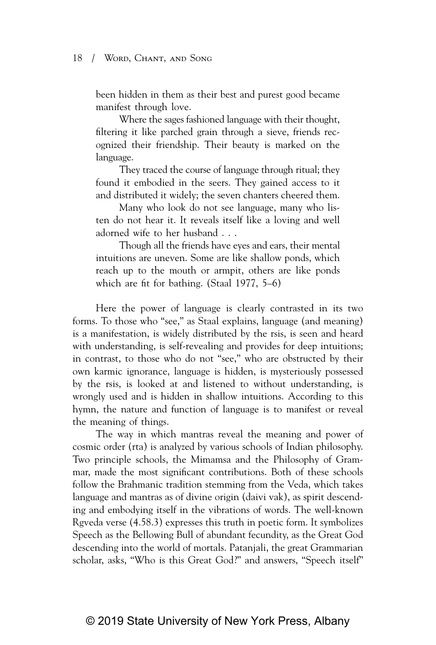been hidden in them as their best and purest good became manifest through love.

Where the sages fashioned language with their thought, filtering it like parched grain through a sieve, friends recognized their friendship. Their beauty is marked on the language.

They traced the course of language through ritual; they found it embodied in the seers. They gained access to it and distributed it widely; the seven chanters cheered them.

Many who look do not see language, many who listen do not hear it. It reveals itself like a loving and well adorned wife to her husband . . .

Though all the friends have eyes and ears, their mental intuitions are uneven. Some are like shallow ponds, which reach up to the mouth or armpit, others are like ponds which are fit for bathing. (Staal 1977, 5–6)

Here the power of language is clearly contrasted in its two forms. To those who "see," as Staal explains, language (and meaning) is a manifestation, is widely distributed by the rsis, is seen and heard with understanding, is self-revealing and provides for deep intuitions; in contrast, to those who do not "see," who are obstructed by their own karmic ignorance, language is hidden, is mysteriously possessed by the rsis, is looked at and listened to without understanding, is wrongly used and is hidden in shallow intuitions. According to this hymn, the nature and function of language is to manifest or reveal the meaning of things.

The way in which mantras reveal the meaning and power of cosmic order (rta) is analyzed by various schools of Indian philosophy. Two principle schools, the Mimamsa and the Philosophy of Grammar, made the most significant contributions. Both of these schools follow the Brahmanic tradition stemming from the Veda, which takes language and mantras as of divine origin (daivi vak), as spirit descending and embodying itself in the vibrations of words. The well-known Rgveda verse (4.58.3) expresses this truth in poetic form. It symbolizes Speech as the Bellowing Bull of abundant fecundity, as the Great God descending into the world of mortals. Patanjali, the great Grammarian scholar, asks, "Who is this Great God?" and answers, "Speech itself"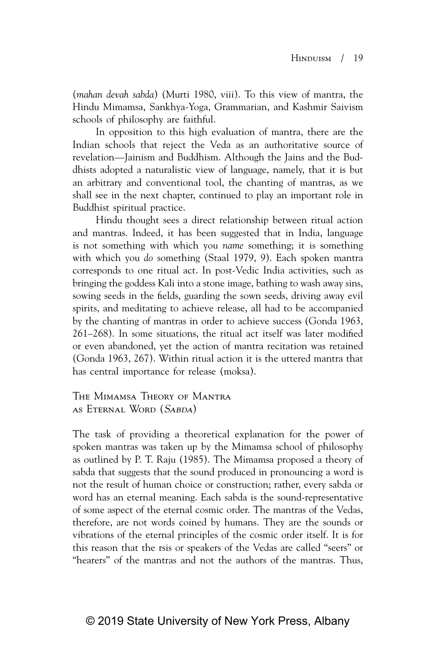(*mahan devah sabda*) (Murti 1980, viii). To this view of mantra, the Hindu Mimamsa, Sankhya-Yoga, Grammarian, and Kashmir Saivism schools of philosophy are faithful.

In opposition to this high evaluation of mantra, there are the Indian schools that reject the Veda as an authoritative source of revelation—Jainism and Buddhism. Although the Jains and the Buddhists adopted a naturalistic view of language, namely, that it is but an arbitrary and conventional tool, the chanting of mantras, as we shall see in the next chapter, continued to play an important role in Buddhist spiritual practice.

Hindu thought sees a direct relationship between ritual action and mantras. Indeed, it has been suggested that in India, language is not something with which you *name* something; it is something with which you *do* something (Staal 1979, 9). Each spoken mantra corresponds to one ritual act. In post-Vedic India activities, such as bringing the goddess Kali into a stone image, bathing to wash away sins, sowing seeds in the fields, guarding the sown seeds, driving away evil spirits, and meditating to achieve release, all had to be accompanied by the chanting of mantras in order to achieve success (Gonda 1963, 261–268). In some situations, the ritual act itself was later modified or even abandoned, yet the action of mantra recitation was retained (Gonda 1963, 267). Within ritual action it is the uttered mantra that has central importance for release (moksa).

The Mimamsa Theory of Mantra as Eternal Word (Sabda)

The task of providing a theoretical explanation for the power of spoken mantras was taken up by the Mimamsa school of philosophy as outlined by P. T. Raju (1985). The Mimamsa proposed a theory of sabda that suggests that the sound produced in pronouncing a word is not the result of human choice or construction; rather, every sabda or word has an eternal meaning. Each sabda is the sound-representative of some aspect of the eternal cosmic order. The mantras of the Vedas, therefore, are not words coined by humans. They are the sounds or vibrations of the eternal principles of the cosmic order itself. It is for this reason that the rsis or speakers of the Vedas are called "seers" or "hearers" of the mantras and not the authors of the mantras. Thus,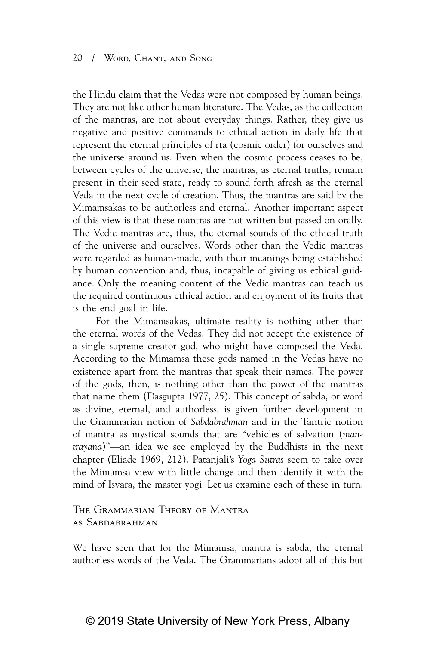the Hindu claim that the Vedas were not composed by human beings. They are not like other human literature. The Vedas, as the collection of the mantras, are not about everyday things. Rather, they give us negative and positive commands to ethical action in daily life that represent the eternal principles of rta (cosmic order) for ourselves and the universe around us. Even when the cosmic process ceases to be, between cycles of the universe, the mantras, as eternal truths, remain present in their seed state, ready to sound forth afresh as the eternal Veda in the next cycle of creation. Thus, the mantras are said by the Mimamsakas to be authorless and eternal. Another important aspect of this view is that these mantras are not written but passed on orally. The Vedic mantras are, thus, the eternal sounds of the ethical truth of the universe and ourselves. Words other than the Vedic mantras were regarded as human-made, with their meanings being established by human convention and, thus, incapable of giving us ethical guidance. Only the meaning content of the Vedic mantras can teach us the required continuous ethical action and enjoyment of its fruits that is the end goal in life.

For the Mimamsakas, ultimate reality is nothing other than the eternal words of the Vedas. They did not accept the existence of a single supreme creator god, who might have composed the Veda. According to the Mimamsa these gods named in the Vedas have no existence apart from the mantras that speak their names. The power of the gods, then, is nothing other than the power of the mantras that name them (Dasgupta 1977, 25). This concept of sabda, or word as divine, eternal, and authorless, is given further development in the Grammarian notion of *Sabdabrahman* and in the Tantric notion of mantra as mystical sounds that are "vehicles of salvation (*mantrayana*)"—an idea we see employed by the Buddhists in the next chapter (Eliade 1969, 212). Patanjali's *Yoga Sutras* seem to take over the Mimamsa view with little change and then identify it with the mind of Isvara, the master yogi. Let us examine each of these in turn.

## The Grammarian Theory of Mantra as Sabdabrahman

We have seen that for the Mimamsa, mantra is sabda, the eternal authorless words of the Veda. The Grammarians adopt all of this but

## © 2019 State University of New York Press, Albany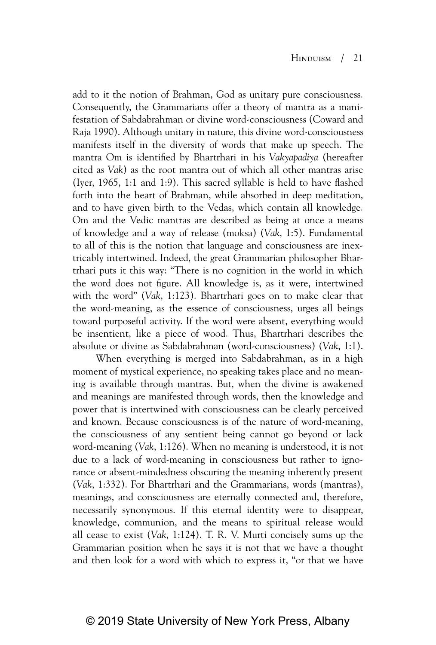add to it the notion of Brahman, God as unitary pure consciousness. Consequently, the Grammarians offer a theory of mantra as a manifestation of Sabdabrahman or divine word-consciousness (Coward and Raja 1990). Although unitary in nature, this divine word-consciousness manifests itself in the diversity of words that make up speech. The mantra Om is identified by Bhartrhari in his *Vakyapadiya* (hereafter cited as *Vak*) as the root mantra out of which all other mantras arise (Iyer, 1965, 1:1 and 1:9). This sacred syllable is held to have flashed forth into the heart of Brahman, while absorbed in deep meditation, and to have given birth to the Vedas, which contain all knowledge. Om and the Vedic mantras are described as being at once a means of knowledge and a way of release (moksa) (*Vak*, 1:5). Fundamental to all of this is the notion that language and consciousness are inextricably intertwined. Indeed, the great Grammarian philosopher Bhartrhari puts it this way: "There is no cognition in the world in which the word does not figure. All knowledge is, as it were, intertwined with the word" (*Vak*, 1:123). Bhartrhari goes on to make clear that the word-meaning, as the essence of consciousness, urges all beings toward purposeful activity. If the word were absent, everything would be insentient, like a piece of wood. Thus, Bhartrhari describes the absolute or divine as Sabdabrahman (word-consciousness) (*Vak*, 1:1).

When everything is merged into Sabdabrahman, as in a high moment of mystical experience, no speaking takes place and no meaning is available through mantras. But, when the divine is awakened and meanings are manifested through words, then the knowledge and power that is intertwined with consciousness can be clearly perceived and known. Because consciousness is of the nature of word-meaning, the consciousness of any sentient being cannot go beyond or lack word-meaning (*Vak*, 1:126). When no meaning is understood, it is not due to a lack of word-meaning in consciousness but rather to ignorance or absent-mindedness obscuring the meaning inherently present (*Vak*, 1:332). For Bhartrhari and the Grammarians, words (mantras), meanings, and consciousness are eternally connected and, therefore, necessarily synonymous. If this eternal identity were to disappear, knowledge, communion, and the means to spiritual release would all cease to exist (*Vak*, 1:124). T. R. V. Murti concisely sums up the Grammarian position when he says it is not that we have a thought and then look for a word with which to express it, "or that we have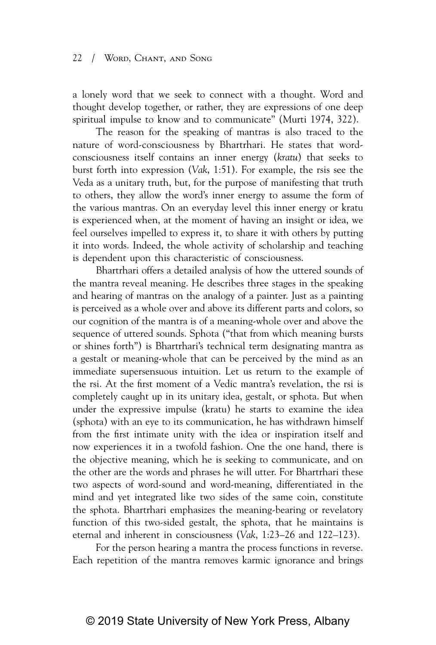a lonely word that we seek to connect with a thought. Word and thought develop together, or rather, they are expressions of one deep spiritual impulse to know and to communicate" (Murti 1974, 322).

The reason for the speaking of mantras is also traced to the nature of word-consciousness by Bhartrhari. He states that wordconsciousness itself contains an inner energy (*kratu*) that seeks to burst forth into expression (*Vak*, 1:51). For example, the rsis see the Veda as a unitary truth, but, for the purpose of manifesting that truth to others, they allow the word's inner energy to assume the form of the various mantras. On an everyday level this inner energy or kratu is experienced when, at the moment of having an insight or idea, we feel ourselves impelled to express it, to share it with others by putting it into words. Indeed, the whole activity of scholarship and teaching is dependent upon this characteristic of consciousness.

Bhartrhari offers a detailed analysis of how the uttered sounds of the mantra reveal meaning. He describes three stages in the speaking and hearing of mantras on the analogy of a painter. Just as a painting is perceived as a whole over and above its different parts and colors, so our cognition of the mantra is of a meaning-whole over and above the sequence of uttered sounds. Sphota ("that from which meaning bursts or shines forth") is Bhartrhari's technical term designating mantra as a gestalt or meaning-whole that can be perceived by the mind as an immediate supersensuous intuition. Let us return to the example of the rsi. At the first moment of a Vedic mantra's revelation, the rsi is completely caught up in its unitary idea, gestalt, or sphota. But when under the expressive impulse (kratu) he starts to examine the idea (sphota) with an eye to its communication, he has withdrawn himself from the first intimate unity with the idea or inspiration itself and now experiences it in a twofold fashion. One the one hand, there is the objective meaning, which he is seeking to communicate, and on the other are the words and phrases he will utter. For Bhartrhari these two aspects of word-sound and word-meaning, differentiated in the mind and yet integrated like two sides of the same coin, constitute the sphota. Bhartrhari emphasizes the meaning-bearing or revelatory function of this two-sided gestalt, the sphota, that he maintains is eternal and inherent in consciousness (*Vak*, 1:23–26 and 122–123).

For the person hearing a mantra the process functions in reverse. Each repetition of the mantra removes karmic ignorance and brings

# © 2019 State University of New York Press, Albany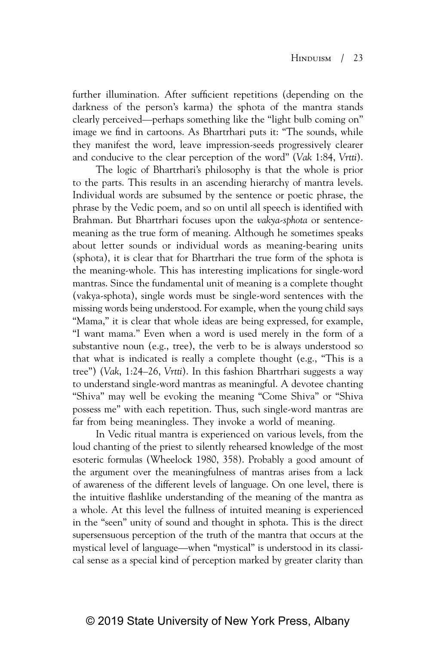further illumination. After sufficient repetitions (depending on the darkness of the person's karma) the sphota of the mantra stands clearly perceived—perhaps something like the "light bulb coming on" image we find in cartoons. As Bhartrhari puts it: "The sounds, while they manifest the word, leave impression-seeds progressively clearer and conducive to the clear perception of the word" (*Vak* 1:84, *Vrtti*).

The logic of Bhartrhari's philosophy is that the whole is prior to the parts. This results in an ascending hierarchy of mantra levels. Individual words are subsumed by the sentence or poetic phrase, the phrase by the Vedic poem, and so on until all speech is identified with Brahman. But Bhartrhari focuses upon the *vakya-sphota* or sentencemeaning as the true form of meaning. Although he sometimes speaks about letter sounds or individual words as meaning-bearing units (sphota), it is clear that for Bhartrhari the true form of the sphota is the meaning-whole. This has interesting implications for single-word mantras. Since the fundamental unit of meaning is a complete thought (vakya-sphota), single words must be single-word sentences with the missing words being understood. For example, when the young child says "Mama," it is clear that whole ideas are being expressed, for example, "I want mama." Even when a word is used merely in the form of a substantive noun (e.g., tree), the verb to be is always understood so that what is indicated is really a complete thought (e.g., "This is a tree") (*Vak*, 1:24–26, *Vrtti*). In this fashion Bhartrhari suggests a way to understand single-word mantras as meaningful. A devotee chanting "Shiva" may well be evoking the meaning "Come Shiva" or "Shiva possess me" with each repetition. Thus, such single-word mantras are far from being meaningless. They invoke a world of meaning.

In Vedic ritual mantra is experienced on various levels, from the loud chanting of the priest to silently rehearsed knowledge of the most esoteric formulas (Wheelock 1980, 358). Probably a good amount of the argument over the meaningfulness of mantras arises from a lack of awareness of the different levels of language. On one level, there is the intuitive flashlike understanding of the meaning of the mantra as a whole. At this level the fullness of intuited meaning is experienced in the "seen" unity of sound and thought in sphota. This is the direct supersensuous perception of the truth of the mantra that occurs at the mystical level of language—when "mystical" is understood in its classical sense as a special kind of perception marked by greater clarity than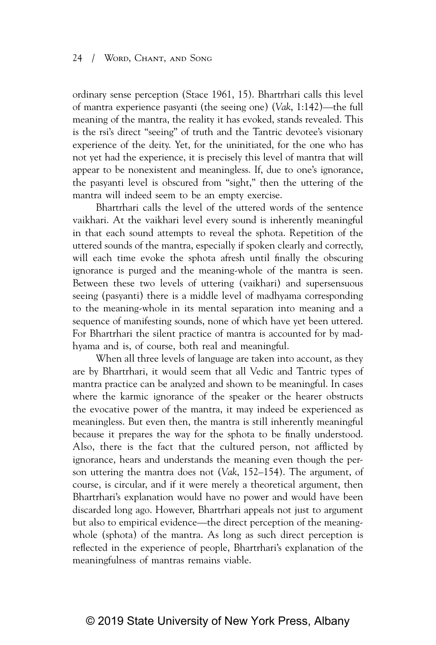ordinary sense perception (Stace 1961, 15). Bhartrhari calls this level of mantra experience pasyanti (the seeing one) (*Vak*, 1:142)—the full meaning of the mantra, the reality it has evoked, stands revealed. This is the rsi's direct "seeing" of truth and the Tantric devotee's visionary experience of the deity. Yet, for the uninitiated, for the one who has not yet had the experience, it is precisely this level of mantra that will appear to be nonexistent and meaningless. If, due to one's ignorance, the pasyanti level is obscured from "sight," then the uttering of the mantra will indeed seem to be an empty exercise.

Bhartrhari calls the level of the uttered words of the sentence vaikhari. At the vaikhari level every sound is inherently meaningful in that each sound attempts to reveal the sphota. Repetition of the uttered sounds of the mantra, especially if spoken clearly and correctly, will each time evoke the sphota afresh until finally the obscuring ignorance is purged and the meaning-whole of the mantra is seen. Between these two levels of uttering (vaikhari) and supersensuous seeing (pasyanti) there is a middle level of madhyama corresponding to the meaning-whole in its mental separation into meaning and a sequence of manifesting sounds, none of which have yet been uttered. For Bhartrhari the silent practice of mantra is accounted for by madhyama and is, of course, both real and meaningful.

When all three levels of language are taken into account, as they are by Bhartrhari, it would seem that all Vedic and Tantric types of mantra practice can be analyzed and shown to be meaningful. In cases where the karmic ignorance of the speaker or the hearer obstructs the evocative power of the mantra, it may indeed be experienced as meaningless. But even then, the mantra is still inherently meaningful because it prepares the way for the sphota to be finally understood. Also, there is the fact that the cultured person, not afflicted by ignorance, hears and understands the meaning even though the person uttering the mantra does not (*Vak*, 152–154). The argument, of course, is circular, and if it were merely a theoretical argument, then Bhartrhari's explanation would have no power and would have been discarded long ago. However, Bhartrhari appeals not just to argument but also to empirical evidence—the direct perception of the meaningwhole (sphota) of the mantra. As long as such direct perception is reflected in the experience of people, Bhartrhari's explanation of the meaningfulness of mantras remains viable.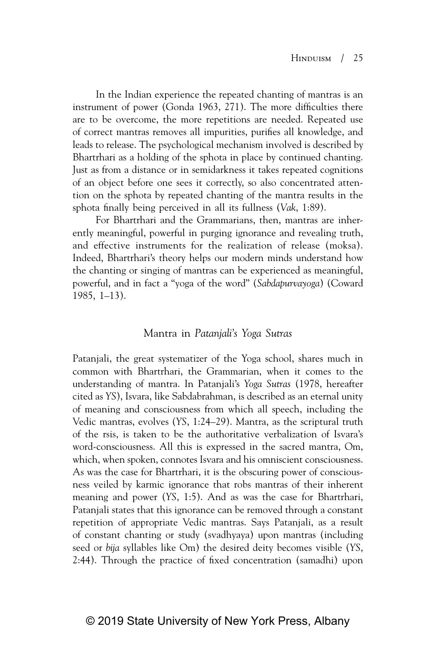In the Indian experience the repeated chanting of mantras is an instrument of power (Gonda 1963, 271). The more difficulties there are to be overcome, the more repetitions are needed. Repeated use of correct mantras removes all impurities, purifies all knowledge, and leads to release. The psychological mechanism involved is described by Bhartrhari as a holding of the sphota in place by continued chanting. Just as from a distance or in semidarkness it takes repeated cognitions of an object before one sees it correctly, so also concentrated attention on the sphota by repeated chanting of the mantra results in the sphota finally being perceived in all its fullness (*Vak*, 1:89).

For Bhartrhari and the Grammarians, then, mantras are inherently meaningful, powerful in purging ignorance and revealing truth, and effective instruments for the realization of release (moksa). Indeed, Bhartrhari's theory helps our modern minds understand how the chanting or singing of mantras can be experienced as meaningful, powerful, and in fact a "yoga of the word" (*Sabdapurvayoga*) (Coward 1985, 1–13).

#### Mantra in *Patanjali's Yoga Sutras*

Patanjali, the great systematizer of the Yoga school, shares much in common with Bhartrhari, the Grammarian, when it comes to the understanding of mantra. In Patanjali's *Yoga Sutras* (1978, hereafter cited as *YS*), Isvara, like Sabdabrahman, is described as an eternal unity of meaning and consciousness from which all speech, including the Vedic mantras, evolves (*YS*, 1:24–29). Mantra, as the scriptural truth of the rsis, is taken to be the authoritative verbalization of Isvara's word-consciousness. All this is expressed in the sacred mantra, Om, which, when spoken, connotes Isvara and his omniscient consciousness. As was the case for Bhartrhari, it is the obscuring power of consciousness veiled by karmic ignorance that robs mantras of their inherent meaning and power (*YS*, 1:5). And as was the case for Bhartrhari, Patanjali states that this ignorance can be removed through a constant repetition of appropriate Vedic mantras. Says Patanjali, as a result of constant chanting or study (svadhyaya) upon mantras (including seed or *bija* syllables like Om) the desired deity becomes visible (*YS*, 2:44). Through the practice of fixed concentration (samadhi) upon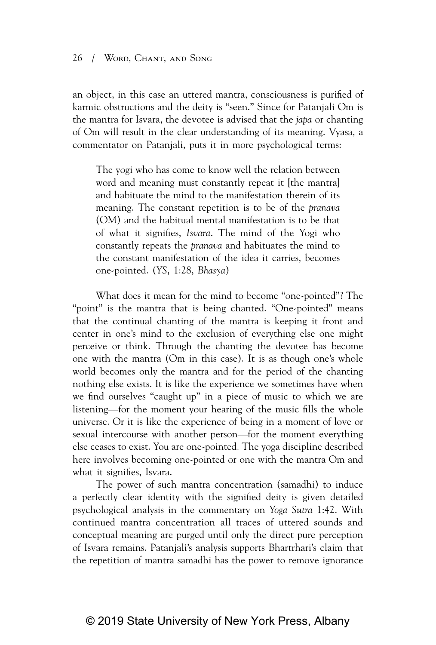an object, in this case an uttered mantra, consciousness is purified of karmic obstructions and the deity is "seen." Since for Patanjali Om is the mantra for Isvara, the devotee is advised that the *japa* or chanting of Om will result in the clear understanding of its meaning. Vyasa, a commentator on Patanjali, puts it in more psychological terms:

The yogi who has come to know well the relation between word and meaning must constantly repeat it [the mantra] and habituate the mind to the manifestation therein of its meaning. The constant repetition is to be of the *pranava* (OM) and the habitual mental manifestation is to be that of what it signifies, *Isvara*. The mind of the Yogi who constantly repeats the *pranava* and habituates the mind to the constant manifestation of the idea it carries, becomes one-pointed. (*YS*, 1:28, *Bhasya*)

What does it mean for the mind to become "one-pointed"? The "point" is the mantra that is being chanted. "One-pointed" means that the continual chanting of the mantra is keeping it front and center in one's mind to the exclusion of everything else one might perceive or think. Through the chanting the devotee has become one with the mantra (Om in this case). It is as though one's whole world becomes only the mantra and for the period of the chanting nothing else exists. It is like the experience we sometimes have when we find ourselves "caught up" in a piece of music to which we are listening—for the moment your hearing of the music fills the whole universe. Or it is like the experience of being in a moment of love or sexual intercourse with another person—for the moment everything else ceases to exist. You are one-pointed. The yoga discipline described here involves becoming one-pointed or one with the mantra Om and what it signifies. Isvara.

The power of such mantra concentration (samadhi) to induce a perfectly clear identity with the signified deity is given detailed psychological analysis in the commentary on *Yoga Sutra* 1:42. With continued mantra concentration all traces of uttered sounds and conceptual meaning are purged until only the direct pure perception of Isvara remains. Patanjali's analysis supports Bhartrhari's claim that the repetition of mantra samadhi has the power to remove ignorance